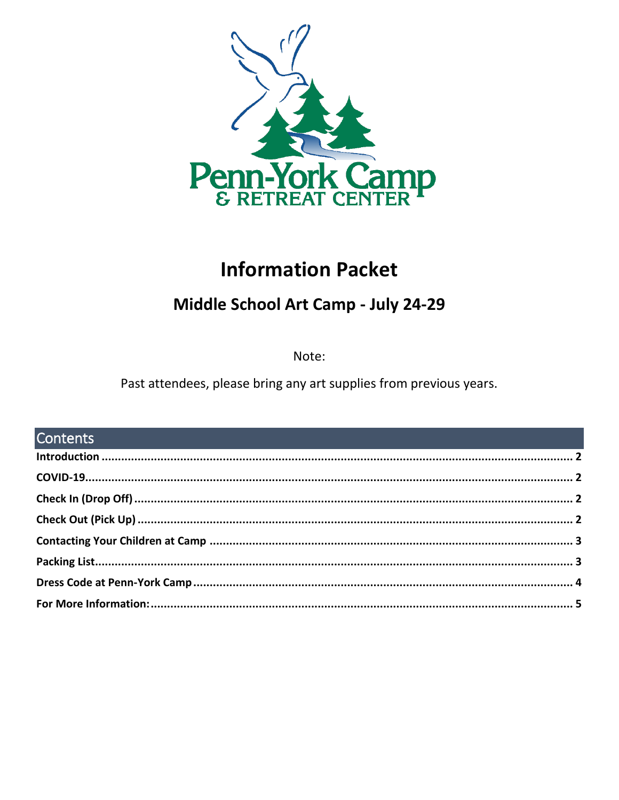

# **Information Packet**

## Middle School Art Camp - July 24-29

Note:

Past attendees, please bring any art supplies from previous years.

| <b>Contents Contents Contents Contents Contents Contents Contents Contents</b> |  |
|--------------------------------------------------------------------------------|--|
|                                                                                |  |
|                                                                                |  |
|                                                                                |  |
|                                                                                |  |
|                                                                                |  |
|                                                                                |  |
|                                                                                |  |
|                                                                                |  |
|                                                                                |  |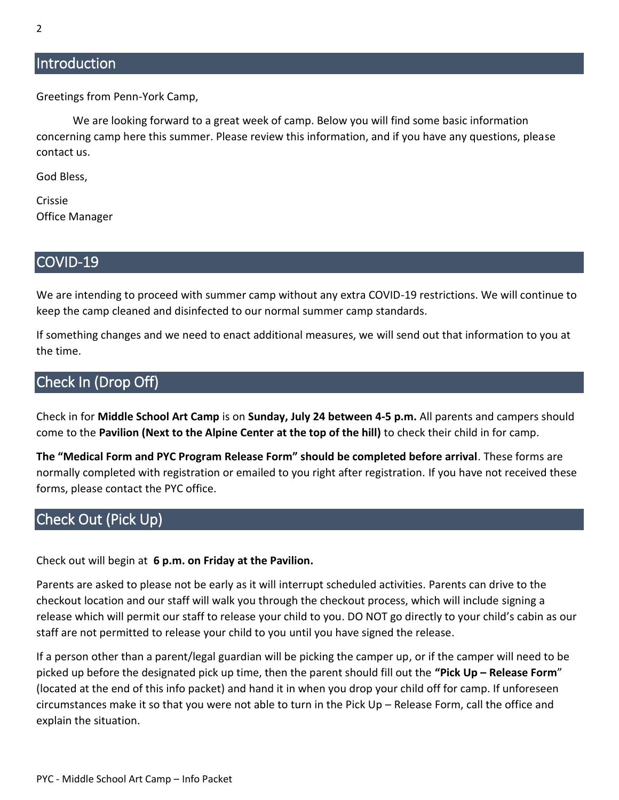### <span id="page-1-0"></span>**Introduction**

Greetings from Penn-York Camp,

We are looking forward to a great week of camp. Below you will find some basic information concerning camp here this summer. Please review this information, and if you have any questions, please contact us.

God Bless,

Crissie Office Manager

#### <span id="page-1-1"></span>COVID-19

We are intending to proceed with summer camp without any extra COVID-19 restrictions. We will continue to keep the camp cleaned and disinfected to our normal summer camp standards.

If something changes and we need to enact additional measures, we will send out that information to you at the time.

### <span id="page-1-2"></span>Check In (Drop Off)

Check in for **Middle School Art Camp** is on **Sunday, July 24 between 4-5 p.m.** All parents and campers should come to the **Pavilion (Next to the Alpine Center at the top of the hill)** to check their child in for camp.

**The "Medical Form and PYC Program Release Form" should be completed before arrival**. These forms are normally completed with registration or emailed to you right after registration. If you have not received these forms, please contact the PYC office.

### <span id="page-1-3"></span>Check Out (Pick Up)

Check out will begin at **6 p.m. on Friday at the Pavilion.**

Parents are asked to please not be early as it will interrupt scheduled activities. Parents can drive to the checkout location and our staff will walk you through the checkout process, which will include signing a release which will permit our staff to release your child to you. DO NOT go directly to your child's cabin as our staff are not permitted to release your child to you until you have signed the release.

If a person other than a parent/legal guardian will be picking the camper up, or if the camper will need to be picked up before the designated pick up time, then the parent should fill out the **"Pick Up – Release Form**" (located at the end of this info packet) and hand it in when you drop your child off for camp. If unforeseen circumstances make it so that you were not able to turn in the Pick Up – Release Form, call the office and explain the situation.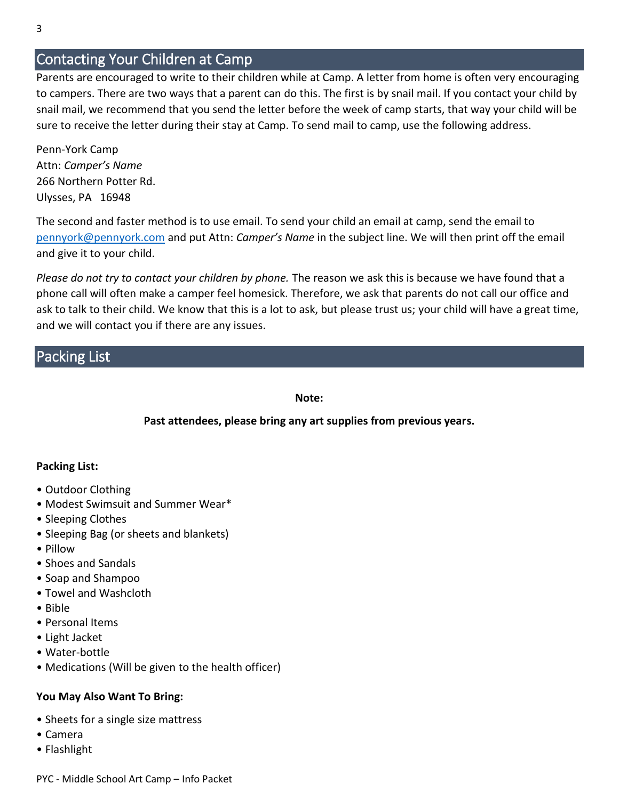### <span id="page-2-0"></span>Contacting Your Children at Camp

Parents are encouraged to write to their children while at Camp. A letter from home is often very encouraging to campers. There are two ways that a parent can do this. The first is by snail mail. If you contact your child by snail mail, we recommend that you send the letter before the week of camp starts, that way your child will be sure to receive the letter during their stay at Camp. To send mail to camp, use the following address.

Penn-York Camp Attn: *Camper's Name* 266 Northern Potter Rd. Ulysses, PA 16948

The second and faster method is to use email. To send your child an email at camp, send the email to [pennyork@pennyork.com](mailto:pennyork@pennyork.com) and put Attn: *Camper's Name* in the subject line. We will then print off the email and give it to your child.

*Please do not try to contact your children by phone.* The reason we ask this is because we have found that a phone call will often make a camper feel homesick. Therefore, we ask that parents do not call our office and ask to talk to their child. We know that this is a lot to ask, but please trust us; your child will have a great time, and we will contact you if there are any issues.

### <span id="page-2-1"></span>Packing List

#### **Note:**

#### **Past attendees, please bring any art supplies from previous years.**

#### **Packing List:**

- Outdoor Clothing
- Modest Swimsuit and Summer Wear\*
- Sleeping Clothes
- Sleeping Bag (or sheets and blankets)
- Pillow
- Shoes and Sandals
- Soap and Shampoo
- Towel and Washcloth
- Bible
- Personal Items
- Light Jacket
- Water-bottle
- Medications (Will be given to the health officer)

#### **You May Also Want To Bring:**

- Sheets for a single size mattress
- Camera
- Flashlight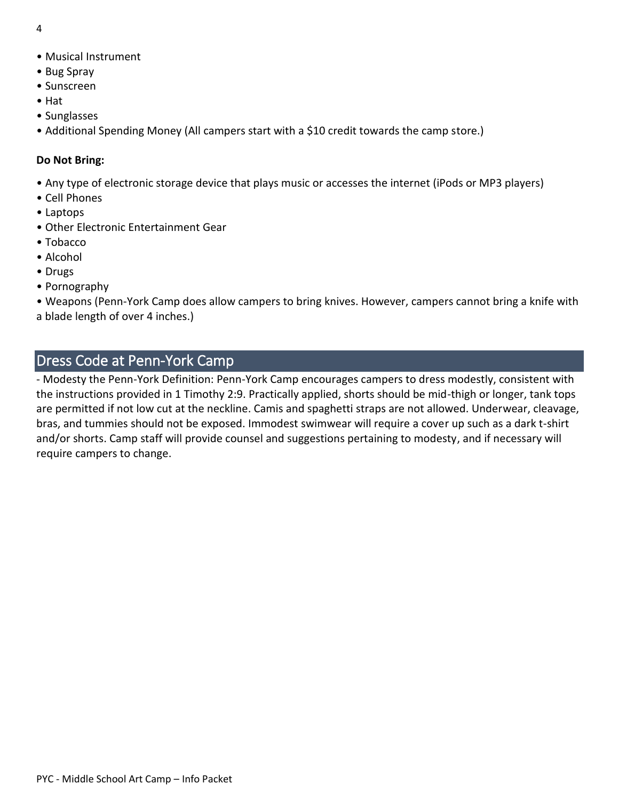- 4
- Musical Instrument
- Bug Spray
- Sunscreen
- Hat
- Sunglasses
- Additional Spending Money (All campers start with a \$10 credit towards the camp store.)

#### **Do Not Bring:**

- Any type of electronic storage device that plays music or accesses the internet (iPods or MP3 players)
- Cell Phones
- Laptops
- Other Electronic Entertainment Gear
- Tobacco
- Alcohol
- Drugs
- Pornography

• Weapons (Penn-York Camp does allow campers to bring knives. However, campers cannot bring a knife with a blade length of over 4 inches.)

### <span id="page-3-0"></span>Dress Code at Penn-York Camp

- Modesty the Penn-York Definition: Penn-York Camp encourages campers to dress modestly, consistent with the instructions provided in 1 Timothy 2:9. Practically applied, shorts should be mid-thigh or longer, tank tops are permitted if not low cut at the neckline. Camis and spaghetti straps are not allowed. Underwear, cleavage, bras, and tummies should not be exposed. Immodest swimwear will require a cover up such as a dark t-shirt and/or shorts. Camp staff will provide counsel and suggestions pertaining to modesty, and if necessary will require campers to change.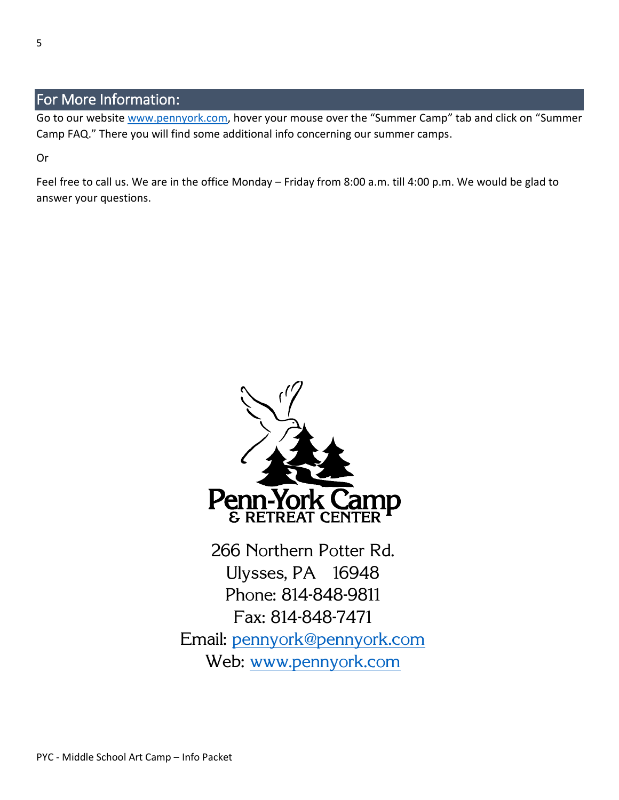### <span id="page-4-0"></span>For More Information:

Go to our website [www.pennyork.com,](http://www.pennyork.com/) hover your mouse over the "Summer Camp" tab and click on "Summer Camp FAQ." There you will find some additional info concerning our summer camps.

Or

Feel free to call us. We are in the office Monday – Friday from 8:00 a.m. till 4:00 p.m. We would be glad to answer your questions.